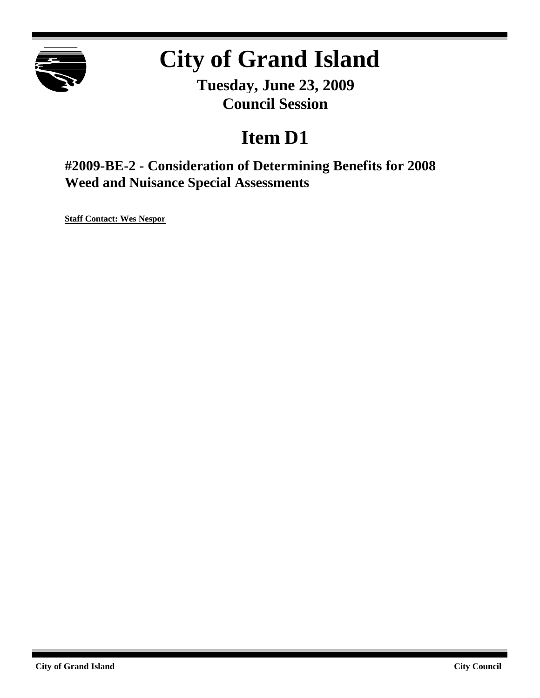

# **City of Grand Island**

**Tuesday, June 23, 2009 Council Session**

# **Item D1**

**#2009-BE-2 - Consideration of Determining Benefits for 2008 Weed and Nuisance Special Assessments**

**Staff Contact: Wes Nespor**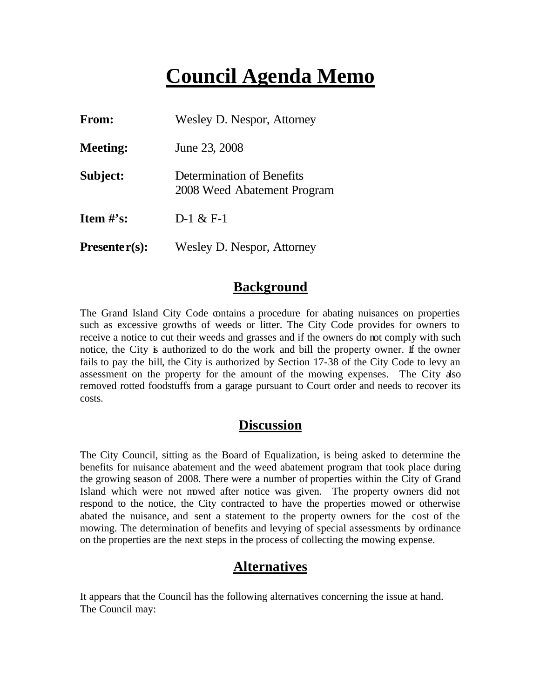## **Council Agenda Memo**

| <b>From:</b>    | Wesley D. Nespor, Attorney                               |  |
|-----------------|----------------------------------------------------------|--|
| <b>Meeting:</b> | June 23, 2008                                            |  |
| Subject:        | Determination of Benefits<br>2008 Weed Abatement Program |  |
| Item $\#$ 's:   | $D-1 & 0 \\ E-1$                                         |  |
| $Presenter(s):$ | Wesley D. Nespor, Attorney                               |  |

#### **Background**

The Grand Island City Code contains a procedure for abating nuisances on properties such as excessive growths of weeds or litter. The City Code provides for owners to receive a notice to cut their weeds and grasses and if the owners do not comply with such notice, the City is authorized to do the work and bill the property owner. If the owner fails to pay the bill, the City is authorized by Section 17-38 of the City Code to levy an assessment on the property for the amount of the mowing expenses. The City also removed rotted foodstuffs from a garage pursuant to Court order and needs to recover its costs.

#### **Discussion**

The City Council, sitting as the Board of Equalization, is being asked to determine the benefits for nuisance abatement and the weed abatement program that took place during the growing season of 2008. There were a number of properties within the City of Grand Island which were not mowed after notice was given. The property owners did not respond to the notice, the City contracted to have the properties mowed or otherwise abated the nuisance, and sent a statement to the property owners for the cost of the mowing. The determination of benefits and levying of special assessments by ordinance on the properties are the next steps in the process of collecting the mowing expense.

#### **Alternatives**

It appears that the Council has the following alternatives concerning the issue at hand. The Council may: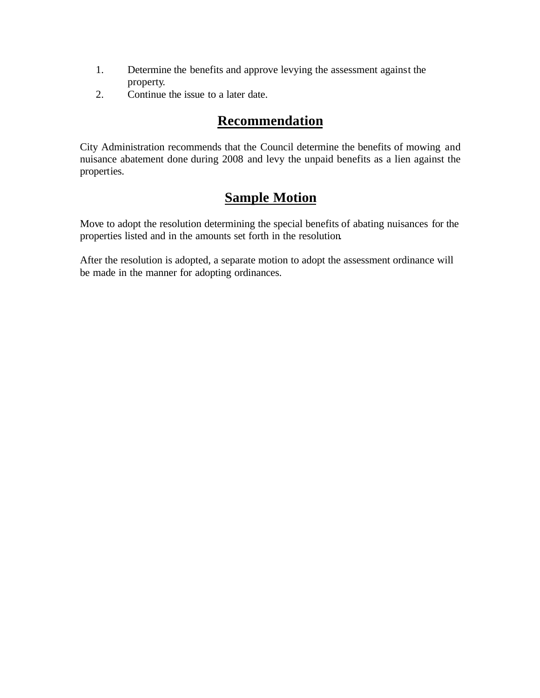- 1. Determine the benefits and approve levying the assessment against the property.
- 2. Continue the issue to a later date.

### **Recommendation**

City Administration recommends that the Council determine the benefits of mowing and nuisance abatement done during 2008 and levy the unpaid benefits as a lien against the properties.

### **Sample Motion**

Move to adopt the resolution determining the special benefits of abating nuisances for the properties listed and in the amounts set forth in the resolution.

After the resolution is adopted, a separate motion to adopt the assessment ordinance will be made in the manner for adopting ordinances.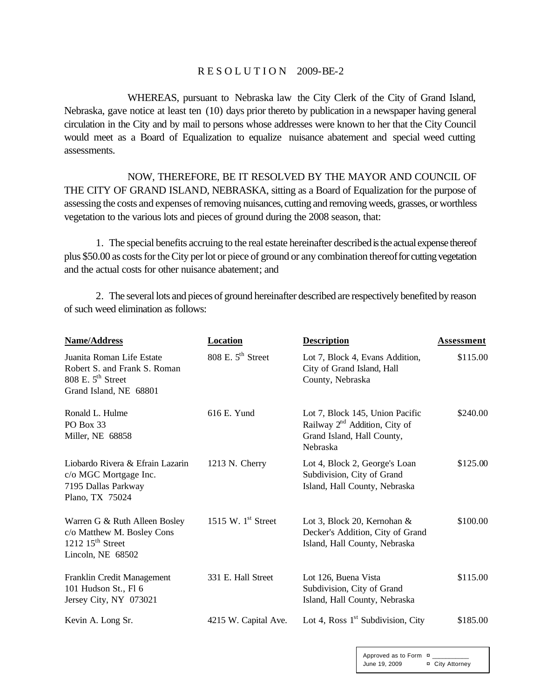#### R E S O L U T I O N 2009-BE-2

WHEREAS, pursuant to Nebraska law the City Clerk of the City of Grand Island, Nebraska, gave notice at least ten (10) days prior thereto by publication in a newspaper having general circulation in the City and by mail to persons whose addresses were known to her that the City Council would meet as a Board of Equalization to equalize nuisance abatement and special weed cutting assessments.

NOW, THEREFORE, BE IT RESOLVED BY THE MAYOR AND COUNCIL OF THE CITY OF GRAND ISLAND, NEBRASKA, sitting as a Board of Equalization for the purpose of assessing the costs and expenses of removing nuisances, cutting and removing weeds, grasses, or worthless vegetation to the various lots and pieces of ground during the 2008 season, that:

1. The special benefits accruing to the real estate hereinafter described is the actual expense thereof plus \$50.00 as costs for the City per lot or piece of ground or any combination thereof for cutting vegetation and the actual costs for other nuisance abatement; and

2. The several lots and pieces of ground hereinafter described are respectively benefited by reason of such weed elimination as follows:

| Name/Address                                                                                                         | Location             | <b>Description</b>                                                                                                     | Assessment |
|----------------------------------------------------------------------------------------------------------------------|----------------------|------------------------------------------------------------------------------------------------------------------------|------------|
| Juanita Roman Life Estate<br>Robert S. and Frank S. Roman<br>808 E. $5^{\text{th}}$ Street<br>Grand Island, NE 68801 | 808 E. $5th$ Street  | Lot 7, Block 4, Evans Addition,<br>City of Grand Island, Hall<br>County, Nebraska                                      | \$115.00   |
| Ronald L. Hulme<br>PO Box 33<br>Miller, NE 68858                                                                     | 616 E. Yund          | Lot 7, Block 145, Union Pacific<br>Railway 2 <sup>nd</sup> Addition, City of<br>Grand Island, Hall County,<br>Nebraska | \$240.00   |
| Liobardo Rivera & Efrain Lazarin<br>c/o MGC Mortgage Inc.<br>7195 Dallas Parkway<br>Plano, TX 75024                  | $1213$ N. Cherry     | Lot 4, Block 2, George's Loan<br>Subdivision, City of Grand<br>Island, Hall County, Nebraska                           | \$125.00   |
| Warren G & Ruth Alleen Bosley<br>c/o Matthew M. Bosley Cons<br>1212 $15th$ Street<br>Lincoln, NE 68502               | 1515 W. $1st$ Street | Lot 3, Block 20, Kernohan $\&$<br>Decker's Addition, City of Grand<br>Island, Hall County, Nebraska                    | \$100.00   |
| Franklin Credit Management<br>101 Hudson St., Fl 6<br>Jersey City, NY 073021                                         | 331 E. Hall Street   | Lot 126, Buena Vista<br>Subdivision, City of Grand<br>Island, Hall County, Nebraska                                    | \$115.00   |
| Kevin A. Long Sr.                                                                                                    | 4215 W. Capital Ave. | Lot 4, Ross $1st$ Subdivision, City                                                                                    | \$185.00   |

Approved as to Form  $\alpha$ June 19, 2009 ¤ City Attorney